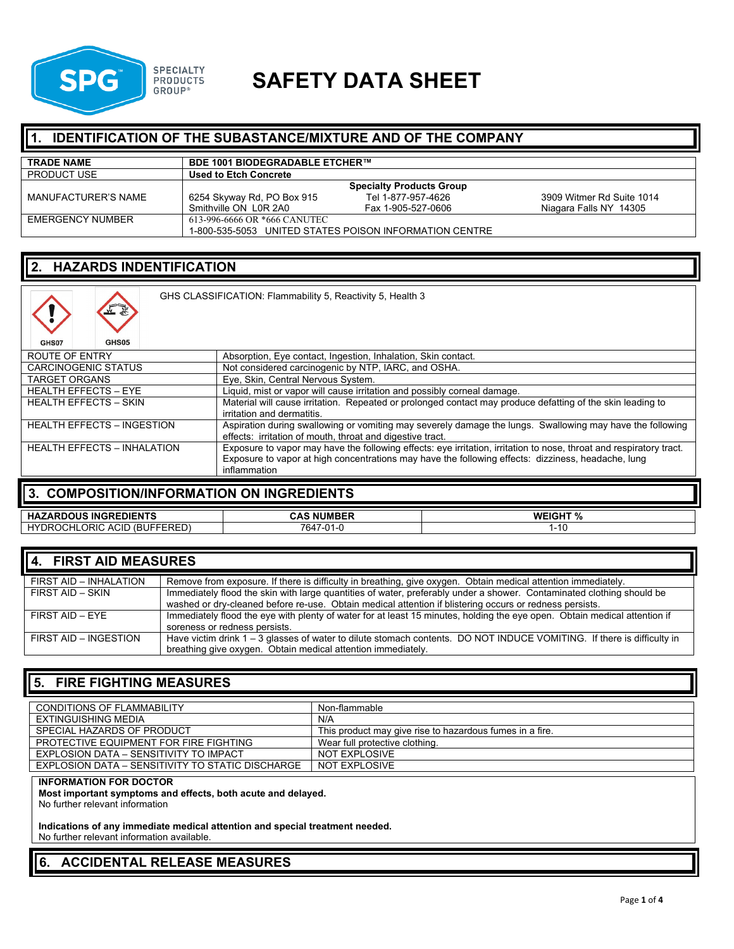

# **SPG SPECIALTY SAFETY DATA SHEET**

#### **1. IDENTIFICATION OF THE SUBASTANCE/MIXTURE AND OF THE COMPANY**

| <b>TRADE NAME</b>   | <b>BDE 1001 BIODEGRADABLE ETCHER™</b> |                                                        |                           |
|---------------------|---------------------------------------|--------------------------------------------------------|---------------------------|
| <b>PRODUCT USE</b>  | Used to Etch Concrete                 |                                                        |                           |
|                     |                                       | <b>Specialty Products Group</b>                        |                           |
| MANUFACTURER'S NAME | 6254 Skyway Rd, PO Box 915            | Tel 1-877-957-4626                                     | 3909 Witmer Rd Suite 1014 |
|                     | Smithville ON L0R 2A0                 | Fax 1-905-527-0606                                     | Niagara Falls NY 14305    |
| EMERGENCY NUMBER    | 613-996-6666 OR *666 CANUTEC          |                                                        |                           |
|                     |                                       | 1-800-535-5053 UNITED STATES POISON INFORMATION CENTRE |                           |

#### **2. HAZARDS INDENTIFICATION**

| GHS CLASSIFICATION: Flammability 5, Reactivity 5, Health 3<br>GHS05<br>GHS07 |                                                                                                                                                                                                                                           |  |
|------------------------------------------------------------------------------|-------------------------------------------------------------------------------------------------------------------------------------------------------------------------------------------------------------------------------------------|--|
| ROUTE OF ENTRY                                                               | Absorption, Eye contact, Ingestion, Inhalation, Skin contact.                                                                                                                                                                             |  |
| <b>CARCINOGENIC STATUS</b>                                                   | Not considered carcinogenic by NTP, IARC, and OSHA.                                                                                                                                                                                       |  |
| <b>TARGET ORGANS</b>                                                         | Eye, Skin, Central Nervous System.                                                                                                                                                                                                        |  |
| <b>HEALTH EFFECTS - EYE</b>                                                  | Liquid, mist or vapor will cause irritation and possibly corneal damage.                                                                                                                                                                  |  |
| <b>HEALTH EFFECTS - SKIN</b>                                                 | Material will cause irritation. Repeated or prolonged contact may produce defatting of the skin leading to<br>irritation and dermatitis.                                                                                                  |  |
| <b>HEALTH EFFECTS - INGESTION</b>                                            | Aspiration during swallowing or vomiting may severely damage the lungs. Swallowing may have the following<br>effects: irritation of mouth, throat and digestive tract.                                                                    |  |
| <b>HEALTH EFFECTS - INHALATION</b>                                           | Exposure to vapor may have the following effects: eye irritation, irritation to nose, throat and respiratory tract.<br>Exposure to vapor at high concentrations may have the following effects: dizziness, headache, lung<br>inflammation |  |

#### **3. COMPOSITION/INFORMATION ON INGREDIENTS**

| <b>INGREDIENTS</b><br>ZARDOUS<br><b>HAZ</b>                                                                          | <b>NUMBER</b><br>CAS               | <b>WEIGHT %</b><br> |
|----------------------------------------------------------------------------------------------------------------------|------------------------------------|---------------------|
| ---<br>---<br>OCHLORIC,<br>$\cdot$ rDROC $\cdot$<br><b>ACID</b><br>.BUF<br>$\sqrt{D}$<br>- L L I<br>◡<br>ַ שבוי<br>- | 764<br>$\mathbf{A}$<br>$1 - 1 - 1$ | 1-1L                |

| 4. FIRST AID MEASURES  |                                                                                                                                                                                                                                  |  |
|------------------------|----------------------------------------------------------------------------------------------------------------------------------------------------------------------------------------------------------------------------------|--|
| FIRST AID - INHALATION | Remove from exposure. If there is difficulty in breathing, give oxygen. Obtain medical attention immediately.                                                                                                                    |  |
| FIRST AID - SKIN       | Immediately flood the skin with large quantities of water, preferably under a shower. Contaminated clothing should be<br>washed or dry-cleaned before re-use. Obtain medical attention if blistering occurs or redness persists. |  |
| FIRST AID - EYE        | Immediately flood the eye with plenty of water for at least 15 minutes, holding the eye open. Obtain medical attention if<br>soreness or redness persists.                                                                       |  |
| FIRST AID - INGESTION  | Have victim drink 1 - 3 glasses of water to dilute stomach contents. DO NOT INDUCE VOMITING. If there is difficulty in                                                                                                           |  |
|                        | breathing give oxygen. Obtain medical attention immediately.                                                                                                                                                                     |  |

### **5. FIRE FIGHTING MEASURES**

| <b>CONDITIONS OF FLAMMABILITY</b>                | Non-flammable                                            |
|--------------------------------------------------|----------------------------------------------------------|
| EXTINGUISHING MEDIA                              | N/A                                                      |
| SPECIAL HAZARDS OF PRODUCT                       | This product may give rise to hazardous fumes in a fire. |
| PROTECTIVE EQUIPMENT FOR FIRE FIGHTING           | Wear full protective clothing.                           |
| EXPLOSION DATA - SENSITIVITY TO IMPACT           | NOT EXPLOSIVE                                            |
| EXPLOSION DATA – SENSITIVITY TO STATIC DISCHARGE | NOT EXPLOSIVE                                            |

#### **INFORMATION FOR DOCTOR**

**Most important symptoms and effects, both acute and delayed.**

No further relevant information

**Indications of any immediate medical attention and special treatment needed.**

No further relevant information available.

# **6. ACCIDENTAL RELEASE MEASURES**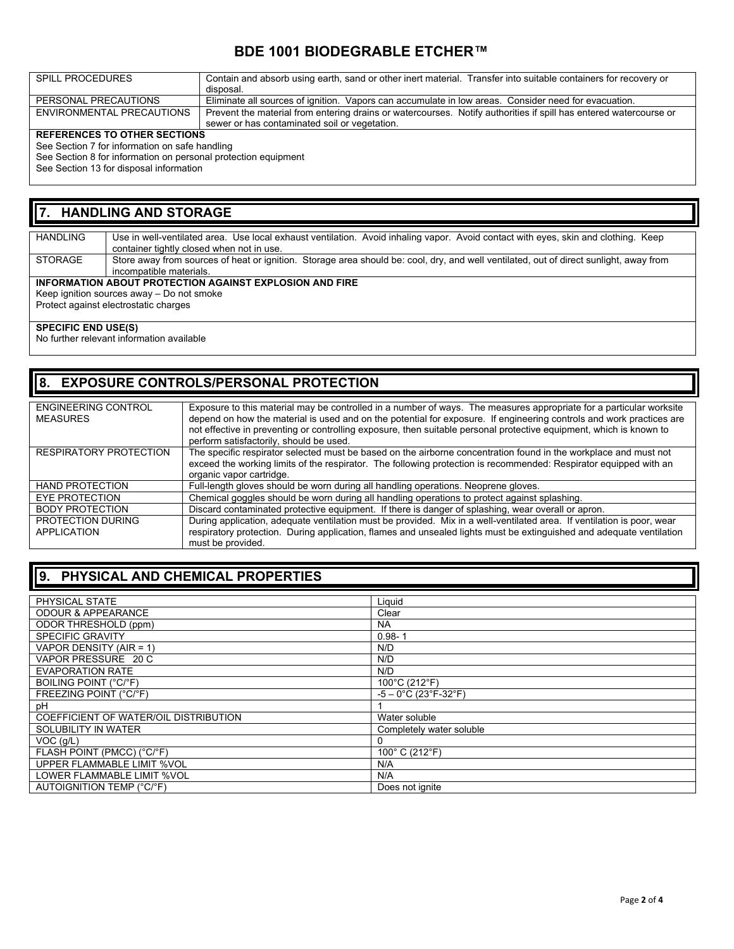### **BDE 1001 BIODEGRABLE ETCHER™**

| SPILL PROCEDURES              | Contain and absorb using earth, sand or other inert material. Transfer into suitable containers for recovery or   |
|-------------------------------|-------------------------------------------------------------------------------------------------------------------|
|                               | disposal.                                                                                                         |
| PERSONAL PRECAUTIONS          | Eliminate all sources of ignition. Vapors can accumulate in low areas. Consider need for evacuation.              |
| ENVIRONMENTAL PRECAUTIONS     | Prevent the material from entering drains or watercourses. Notify authorities if spill has entered watercourse or |
|                               | sewer or has contaminated soil or vegetation.                                                                     |
| REFERENCES TO OTHER SECTIONS. |                                                                                                                   |

#### **REFERENCES TO OTHER SECTIONS** See Section 7 for information on safe handling

See Section 8 for information on personal protection equipment

See Section 13 for disposal information

#### **7. HANDLING AND STORAGE**

HANDLING Use in well-ventilated area. Use local exhaust ventilation. Avoid inhaling vapor. Avoid contact with eyes, skin and clothing. Keep container tightly closed when not in use. STORAGE Store away from sources of heat or ignition. Storage area should be: cool, dry, and well ventilated, out of direct sunlight, away from incompatible materials. **INFORMATION ABOUT PROTECTION AGAINST EXPLOSION AND FIRE** Keep ignition sources away – Do not smoke

Protect against electrostatic charges

#### **SPECIFIC END USE(S)**

No further relevant information available

### **8. EXPOSURE CONTROLS/PERSONAL PROTECTION**

| <b>ENGINEERING CONTROL</b>    | Exposure to this material may be controlled in a number of ways. The measures appropriate for a particular worksite    |
|-------------------------------|------------------------------------------------------------------------------------------------------------------------|
| <b>MEASURES</b>               | depend on how the material is used and on the potential for exposure. If engineering controls and work practices are   |
|                               | not effective in preventing or controlling exposure, then suitable personal protective equipment, which is known to    |
|                               |                                                                                                                        |
|                               | perform satisfactorily, should be used.                                                                                |
| <b>RESPIRATORY PROTECTION</b> | The specific respirator selected must be based on the airborne concentration found in the workplace and must not       |
|                               | exceed the working limits of the respirator. The following protection is recommended: Respirator equipped with an      |
|                               |                                                                                                                        |
|                               | organic vapor cartridge.                                                                                               |
| <b>HAND PROTECTION</b>        | Full-length gloves should be worn during all handling operations. Neoprene gloves.                                     |
| <b>EYE PROTECTION</b>         | Chemical goggles should be worn during all handling operations to protect against splashing.                           |
| <b>BODY PROTECTION</b>        | Discard contaminated protective equipment. If there is danger of splashing, wear overall or apron.                     |
| PROTECTION DURING             | During application, adequate ventilation must be provided. Mix in a well-ventilated area. If ventilation is poor, wear |
| APPLICATION                   | respiratory protection. During application, flames and unsealed lights must be extinguished and adequate ventilation   |
|                               | must be provided.                                                                                                      |

### **9. PHYSICAL AND CHEMICAL PROPERTIES**

| PHYSICAL STATE                        | Liquid                                               |
|---------------------------------------|------------------------------------------------------|
| <b>ODOUR &amp; APPEARANCE</b>         | Clear                                                |
| ODOR THRESHOLD (ppm)                  | <b>NA</b>                                            |
| <b>SPECIFIC GRAVITY</b>               | $0.98 - 1$                                           |
| VAPOR DENSITY (AIR = 1)               | N/D                                                  |
| VAPOR PRESSURE 20 C                   | N/D                                                  |
| <b>EVAPORATION RATE</b>               | N/D                                                  |
| BOILING POINT (°C/°F)                 | 100°C (212°F)                                        |
| FREEZING POINT (°C/°F)                | $-5 - 0^{\circ}$ C (23 $^{\circ}$ F-32 $^{\circ}$ F) |
| рH                                    |                                                      |
| COEFFICIENT OF WATER/OIL DISTRIBUTION | Water soluble                                        |
| SOLUBILITY IN WATER                   | Completely water soluble                             |
| $VOC$ ( $g/L$ )                       |                                                      |
| FLASH POINT (PMCC) (°C/°F)            | 100° C (212°F)                                       |
| UPPER FLAMMABLE LIMIT %VOL            | N/A                                                  |
| LOWER FLAMMABLE LIMIT %VOL            | N/A                                                  |
| AUTOIGNITION TEMP (°C/°F)             | Does not ignite                                      |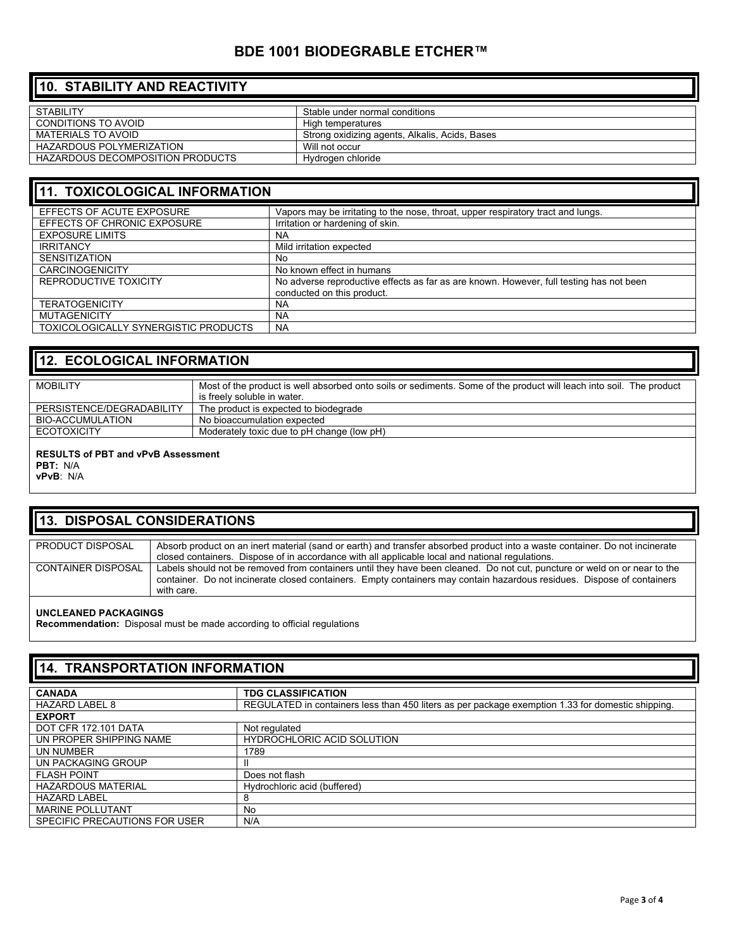### **BDE 1001 BIODEGRABLE ETCHER™**

# **10. STABILITY AND REACTIVITY**

| STABIL ITY                       | Stable under normal conditions                 |
|----------------------------------|------------------------------------------------|
|                                  |                                                |
| CONDITIONS TO AVOID              | High temperatures                              |
|                                  |                                                |
| MATERIALS TO AVOID               | Strong oxidizing agents, Alkalis, Acids, Bases |
| HAZARDOUS POLYMERIZATION         | Will not occur                                 |
|                                  |                                                |
| HAZARDOUS DECOMPOSITION PRODUCTS | Hydrogen chloride                              |
|                                  |                                                |

#### **11. TOXICOLOGICAL INFORMATION** EFFECTS OF ACUTE EXPOSURE Vapors may be irritating to the nose, throat, upper respiratory tract and lungs. EFFECTS OF CHRONIC EXPOSURE | Irritation or hardening of skin.<br>
EXPOSURE LIMITS | NA EXPOSURE LIMITS<br>IRRITANCY Mild irritation expected SENSITIZATION No No known effect in humans REPRODUCTIVE TOXICITY No adverse reproductive effects as far as are known. However, full testing has not been conducted on this product.<br>NA TERATOGENICITY NA MUTAGENICITY NA<br>TOXICOLOGICALLY SYNERGISTIC PRODUCTS NA TOXICOLOGICALLY SYNERGISTIC PRODUCTS

#### **12. ECOLOGICAL INFORMATION**

| <b>MOBILITY</b>           | Most of the product is well absorbed onto soils or sediments. Some of the product will leach into soil. The product |
|---------------------------|---------------------------------------------------------------------------------------------------------------------|
|                           | is freely soluble in water.                                                                                         |
| PERSISTENCE/DEGRADABILITY | The product is expected to biodegrade                                                                               |
| BIO-ACCUMULATION          | No bioaccumulation expected                                                                                         |
| <b>ECOTOXICITY</b>        | Moderately toxic due to pH change (low pH)                                                                          |

#### **RESULTS of PBT and vPvB Assessment**

**PBT:** N/A

**vPvB**: N/A

#### **13. DISPOSAL CONSIDERATIONS**

| PRODUCT DISPOSAL          | Absorb product on an inert material (sand or earth) and transfer absorbed product into a waste container. Do not incinerate |
|---------------------------|-----------------------------------------------------------------------------------------------------------------------------|
|                           |                                                                                                                             |
|                           | closed containers. Dispose of in accordance with all applicable local and national regulations.                             |
|                           |                                                                                                                             |
| <b>CONTAINER DISPOSAL</b> |                                                                                                                             |
|                           | Labels should not be removed from containers until they have been cleaned. Do not cut, puncture or weld on or near to the   |
|                           |                                                                                                                             |
|                           | container. Do not incinerate closed containers. Empty containers may contain hazardous residues. Dispose of containers      |
|                           |                                                                                                                             |
|                           | with care.                                                                                                                  |

#### **UNCLEANED PACKAGINGS**

**Recommendation:** Disposal must be made according to official regulations

| <b>14. TRANSPORTATION INFORMATION</b> |                                                                                                   |  |
|---------------------------------------|---------------------------------------------------------------------------------------------------|--|
| <b>CANADA</b>                         | <b>TDG CLASSIFICATION</b>                                                                         |  |
| HAZARD LABEL 8                        | REGULATED in containers less than 450 liters as per package exemption 1.33 for domestic shipping. |  |
| <b>EXPORT</b>                         |                                                                                                   |  |
| <b>DOT CFR 172.101 DATA</b>           | Not regulated                                                                                     |  |
| UN PROPER SHIPPING NAME               | <b>HYDROCHLORIC ACID SOLUTION</b>                                                                 |  |
| UN NUMBER                             | 1789                                                                                              |  |
| UN PACKAGING GROUP                    | Ш                                                                                                 |  |
| <b>FLASH POINT</b>                    | Does not flash                                                                                    |  |
| <b>HAZARDOUS MATERIAL</b>             | Hydrochloric acid (buffered)                                                                      |  |
| <b>HAZARD LABEL</b>                   | 8                                                                                                 |  |
| <b>MARINE POLLUTANT</b>               | No                                                                                                |  |
| SPECIFIC PRECAUTIONS FOR USER         | N/A                                                                                               |  |